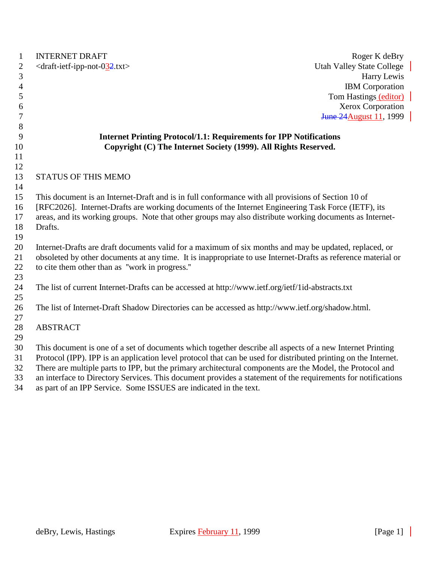| $\mathbf{1}$   | <b>INTERNET DRAFT</b><br>Roger K deBry                                                                                                                                                                          |  |
|----------------|-----------------------------------------------------------------------------------------------------------------------------------------------------------------------------------------------------------------|--|
| $\mathbf{2}$   | <draft-ietf-ipp-not-032.txt><br/><b>Utah Valley State College</b></draft-ietf-ipp-not-032.txt>                                                                                                                  |  |
| 3              | Harry Lewis                                                                                                                                                                                                     |  |
| $\overline{4}$ | <b>IBM</b> Corporation                                                                                                                                                                                          |  |
| 5              | Tom Hastings (editor)                                                                                                                                                                                           |  |
| 6              | Xerox Corporation                                                                                                                                                                                               |  |
| 7              | <b>June 24 August 11, 1999</b>                                                                                                                                                                                  |  |
| 8              |                                                                                                                                                                                                                 |  |
| 9              | <b>Internet Printing Protocol/1.1: Requirements for IPP Notifications</b>                                                                                                                                       |  |
| 10             | Copyright (C) The Internet Society (1999). All Rights Reserved.                                                                                                                                                 |  |
| 11             |                                                                                                                                                                                                                 |  |
| 12             |                                                                                                                                                                                                                 |  |
| 13             | <b>STATUS OF THIS MEMO</b>                                                                                                                                                                                      |  |
| 14             |                                                                                                                                                                                                                 |  |
| 15<br>16       | This document is an Internet-Draft and is in full conformance with all provisions of Section 10 of                                                                                                              |  |
| 17             | [RFC2026]. Internet-Drafts are working documents of the Internet Engineering Task Force (IETF), its<br>areas, and its working groups. Note that other groups may also distribute working documents as Internet- |  |
| 18             | Drafts.                                                                                                                                                                                                         |  |
| 19             |                                                                                                                                                                                                                 |  |
| 20             | Internet-Drafts are draft documents valid for a maximum of six months and may be updated, replaced, or                                                                                                          |  |
| 21             | obsoleted by other documents at any time. It is inappropriate to use Internet-Drafts as reference material or                                                                                                   |  |
| 22             | to cite them other than as "work in progress."                                                                                                                                                                  |  |
| 23             |                                                                                                                                                                                                                 |  |
| 24             | The list of current Internet-Drafts can be accessed at http://www.ietf.org/ietf/1id-abstracts.txt                                                                                                               |  |
| 25             |                                                                                                                                                                                                                 |  |
| 26             | The list of Internet-Draft Shadow Directories can be accessed as http://www.ietf.org/shadow.html.                                                                                                               |  |
| 27             |                                                                                                                                                                                                                 |  |
| 28             | <b>ABSTRACT</b>                                                                                                                                                                                                 |  |
| 29             |                                                                                                                                                                                                                 |  |
| 30             | This document is one of a set of documents which together describe all aspects of a new Internet Printing                                                                                                       |  |
| 31             | Protocol (IPP). IPP is an application level protocol that can be used for distributed printing on the Internet.                                                                                                 |  |
| 32             | There are multiple parts to IPP, but the primary architectural components are the Model, the Protocol and                                                                                                       |  |
| 33             | an interface to Directory Services. This document provides a statement of the requirements for notifications                                                                                                    |  |
| 34             | as part of an IPP Service. Some ISSUES are indicated in the text.                                                                                                                                               |  |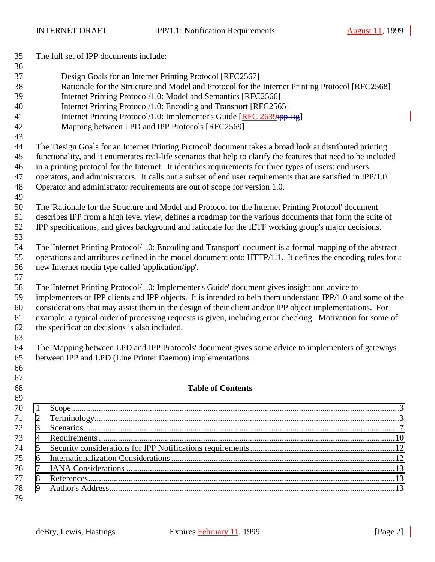| 35 |                                                                                                             | The full set of IPP documents include:                                                                          |  |  |
|----|-------------------------------------------------------------------------------------------------------------|-----------------------------------------------------------------------------------------------------------------|--|--|
| 36 |                                                                                                             |                                                                                                                 |  |  |
| 37 | Design Goals for an Internet Printing Protocol [RFC2567]                                                    |                                                                                                                 |  |  |
| 38 | Rationale for the Structure and Model and Protocol for the Internet Printing Protocol [RFC2568]             |                                                                                                                 |  |  |
| 39 | Internet Printing Protocol/1.0: Model and Semantics [RFC2566]                                               |                                                                                                                 |  |  |
| 40 |                                                                                                             | Internet Printing Protocol/1.0: Encoding and Transport [RFC2565]                                                |  |  |
| 41 |                                                                                                             | Internet Printing Protocol/1.0: Implementer's Guide [RFC 2639ipp-iig]                                           |  |  |
| 42 |                                                                                                             | Mapping between LPD and IPP Protocols [RFC2569]                                                                 |  |  |
| 43 |                                                                                                             |                                                                                                                 |  |  |
| 44 |                                                                                                             | The 'Design Goals for an Internet Printing Protocol' document takes a broad look at distributed printing        |  |  |
| 45 |                                                                                                             | functionality, and it enumerates real-life scenarios that help to clarify the features that need to be included |  |  |
| 46 |                                                                                                             | in a printing protocol for the Internet. It identifies requirements for three types of users: end users,        |  |  |
| 47 |                                                                                                             | operators, and administrators. It calls out a subset of end user requirements that are satisfied in IPP/1.0.    |  |  |
| 48 |                                                                                                             | Operator and administrator requirements are out of scope for version 1.0.                                       |  |  |
| 49 |                                                                                                             |                                                                                                                 |  |  |
| 50 |                                                                                                             | The 'Rationale for the Structure and Model and Protocol for the Internet Printing Protocol' document            |  |  |
| 51 |                                                                                                             | describes IPP from a high level view, defines a roadmap for the various documents that form the suite of        |  |  |
| 52 |                                                                                                             | IPP specifications, and gives background and rationale for the IETF working group's major decisions.            |  |  |
| 53 |                                                                                                             |                                                                                                                 |  |  |
| 54 |                                                                                                             | The 'Internet Printing Protocol/1.0: Encoding and Transport' document is a formal mapping of the abstract       |  |  |
| 55 |                                                                                                             | operations and attributes defined in the model document onto HTTP/1.1. It defines the encoding rules for a      |  |  |
| 56 |                                                                                                             | new Internet media type called 'application/ipp'.                                                               |  |  |
| 57 |                                                                                                             |                                                                                                                 |  |  |
| 58 |                                                                                                             | The 'Internet Printing Protocol/1.0: Implementer's Guide' document gives insight and advice to                  |  |  |
| 59 | implementers of IPP clients and IPP objects. It is intended to help them understand IPP/1.0 and some of the |                                                                                                                 |  |  |
| 60 | considerations that may assist them in the design of their client and/or IPP object implementations. For    |                                                                                                                 |  |  |
| 61 |                                                                                                             | example, a typical order of processing requests is given, including error checking. Motivation for some of      |  |  |
| 62 | the specification decisions is also included.                                                               |                                                                                                                 |  |  |
| 63 |                                                                                                             |                                                                                                                 |  |  |
| 64 |                                                                                                             | The 'Mapping between LPD and IPP Protocols' document gives some advice to implementers of gateways              |  |  |
| 65 | between IPP and LPD (Line Printer Daemon) implementations.                                                  |                                                                                                                 |  |  |
| 66 |                                                                                                             |                                                                                                                 |  |  |
| 67 |                                                                                                             |                                                                                                                 |  |  |
| 68 |                                                                                                             | <b>Table of Contents</b>                                                                                        |  |  |
| 69 |                                                                                                             |                                                                                                                 |  |  |
| 70 | $\mathbf{1}$                                                                                                |                                                                                                                 |  |  |
| 71 | 2                                                                                                           |                                                                                                                 |  |  |
| 72 | 3                                                                                                           |                                                                                                                 |  |  |
| 73 | $\overline{4}$                                                                                              |                                                                                                                 |  |  |
| 74 | 5                                                                                                           |                                                                                                                 |  |  |
| 75 | 6                                                                                                           |                                                                                                                 |  |  |
| 76 | 7                                                                                                           |                                                                                                                 |  |  |
| 77 | 8                                                                                                           |                                                                                                                 |  |  |
| 78 | 9                                                                                                           |                                                                                                                 |  |  |
| 79 |                                                                                                             |                                                                                                                 |  |  |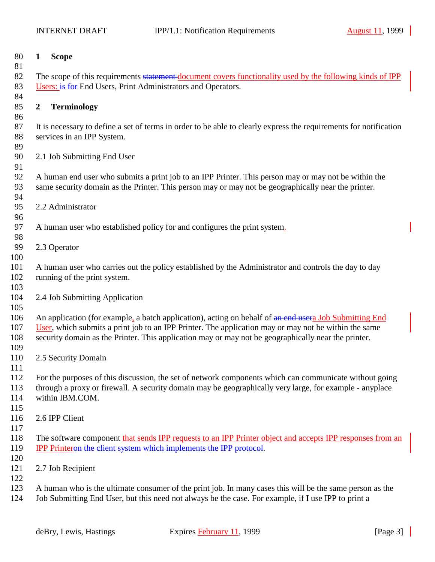<span id="page-2-0"></span>

| 80<br>81   | 1              | <b>Scope</b>                                                                                                               |
|------------|----------------|----------------------------------------------------------------------------------------------------------------------------|
| 82         |                | The scope of this requirements statement document covers functionality used by the following kinds of IPP                  |
| 83         |                | Users: is for End Users, Print Administrators and Operators.                                                               |
| 84         |                |                                                                                                                            |
| 85         | $\overline{2}$ | <b>Terminology</b>                                                                                                         |
| 86         |                |                                                                                                                            |
| 87         |                | It is necessary to define a set of terms in order to be able to clearly express the requirements for notification          |
| 88         |                | services in an IPP System.                                                                                                 |
| 89         |                |                                                                                                                            |
| 90         |                | 2.1 Job Submitting End User                                                                                                |
| 91         |                |                                                                                                                            |
| 92         |                | A human end user who submits a print job to an IPP Printer. This person may or may not be within the                       |
| 93         |                | same security domain as the Printer. This person may or may not be geographically near the printer.                        |
| 94         |                |                                                                                                                            |
| 95         |                | 2.2 Administrator                                                                                                          |
| 96<br>97   |                |                                                                                                                            |
| 98         |                | A human user who established policy for and configures the print system.                                                   |
| 99         |                | 2.3 Operator                                                                                                               |
| 100        |                |                                                                                                                            |
| 101        |                | A human user who carries out the policy established by the Administrator and controls the day to day                       |
| 102        |                | running of the print system.                                                                                               |
| 103        |                |                                                                                                                            |
| 104        |                | 2.4 Job Submitting Application                                                                                             |
| 105        |                |                                                                                                                            |
| 106        |                | An application (for example, a batch application), acting on behalf of an end usera Job Submitting End                     |
| 107        |                | User, which submits a print job to an IPP Printer. The application may or may not be within the same                       |
| 108        |                | security domain as the Printer. This application may or may not be geographically near the printer.                        |
| 109        |                |                                                                                                                            |
| 110        |                | 2.5 Security Domain                                                                                                        |
| 111        |                |                                                                                                                            |
| 112        |                | For the purposes of this discussion, the set of network components which can communicate without going                     |
| 113<br>114 |                | through a proxy or firewall. A security domain may be geographically very large, for example - anyplace<br>within IBM.COM. |
| 115        |                |                                                                                                                            |
| 116        |                | 2.6 IPP Client                                                                                                             |
| 117        |                |                                                                                                                            |
| 118        |                | The software component that sends IPP requests to an IPP Printer object and accepts IPP responses from an                  |
| 119        |                | <b>IPP Printeron the client system which implements the IPP protocol.</b>                                                  |
| 120        |                |                                                                                                                            |
| 121        |                | 2.7 Job Recipient                                                                                                          |
| 122        |                |                                                                                                                            |
| 123        |                | A human who is the ultimate consumer of the print job. In many cases this will be the same person as the                   |
| 124        |                | Job Submitting End User, but this need not always be the case. For example, if I use IPP to print a                        |
|            |                |                                                                                                                            |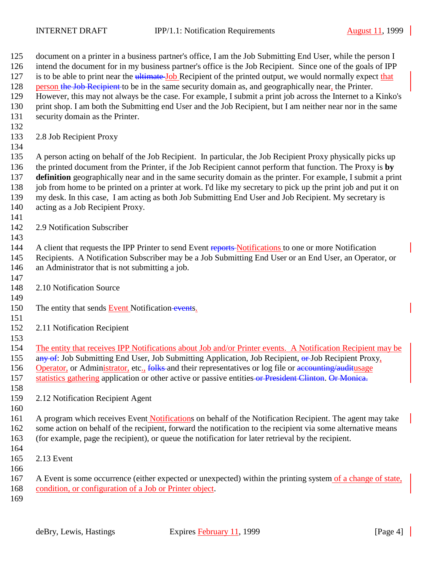document on a printer in a business partner's office, I am the Job Submitting End User, while the person I intend the document for in my business partner's office is the Job Recipient. Since one of the goals of IPP 127 is to be able to print near the ultimate Job Recipient of the printed output, we would normally expect that 128 person the Job Recipient to be in the same security domain as, and geographically near, the Printer. However, this may not always be the case. For example, I submit a print job across the Internet to a Kinko's print shop. I am both the Submitting end User and the Job Recipient, but I am neither near nor in the same security domain as the Printer. 2.8 Job Recipient Proxy A person acting on behalf of the Job Recipient. In particular, the Job Recipient Proxy physically picks up the printed document from the Printer, if the Job Recipient cannot perform that function. The Proxy is **by definition** geographically near and in the same security domain as the printer. For example, I submit a print job from home to be printed on a printer at work. I'd like my secretary to pick up the print job and put it on my desk. In this case, I am acting as both Job Submitting End User and Job Recipient. My secretary is acting as a Job Recipient Proxy. 2.9 Notification Subscriber 144 A client that requests the IPP Printer to send Event reports Notifications to one or more Notification Recipients. A Notification Subscriber may be a Job Submitting End User or an End User, an Operator, or an Administrator that is not submitting a job. 2.10 Notification Source 150 The entity that sends **Event Notification** events. 2.11 Notification Recipient The entity that receives IPP Notifications about Job and/or Printer events. A Notification Recipient may be 155 any of: Job Submitting End User, Job Submitting Application, Job Recipient, or Job Recipient Proxy, 156 Operator, or Administrator, etc., folks and their representatives or log file or accounting/auditusage 157 statistics gathering application or other active or passive entities or President Clinton. Or Monica. 2.12 Notification Recipient Agent A program which receives Event Notifications on behalf of the Notification Recipient. The agent may take 162 some action on behalf of the recipient, forward the notification to the recipient via some alternative means (for example, page the recipient), or queue the notification for later retrieval by the recipient. 2.13 Event A Event is some occurrence (either expected or unexpected) within the printing system of a change of state, condition, or configuration of a Job or Printer object.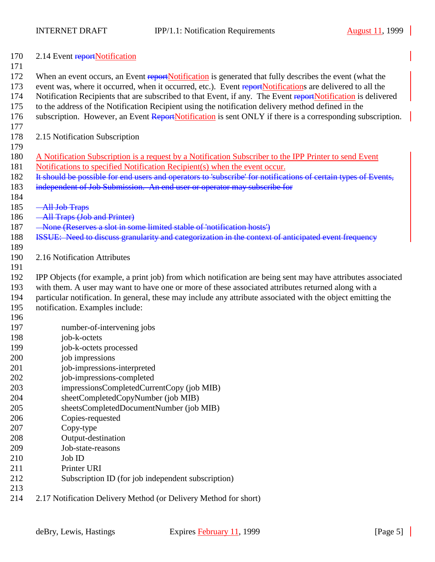| 170<br>171 | 2.14 Event reportNotification                                                                                  |
|------------|----------------------------------------------------------------------------------------------------------------|
| 172        | When an event occurs, an Event reportNotification is generated that fully describes the event (what the        |
| 173        | event was, where it occurred, when it occurred, etc.). Event reportNotifications are delivered to all the      |
| 174        | Notification Recipients that are subscribed to that Event, if any. The Event reportNotification is delivered   |
| 175        | to the address of the Notification Recipient using the notification delivery method defined in the             |
| 176        | subscription. However, an Event ReportNotification is sent ONLY if there is a corresponding subscription.      |
| 177        |                                                                                                                |
| 178        | 2.15 Notification Subscription                                                                                 |
| 179        |                                                                                                                |
| 180        | A Notification Subscription is a request by a Notification Subscriber to the IPP Printer to send Event         |
| 181        | Notifications to specified Notification Recipient(s) when the event occur.                                     |
| 182        | It should be possible for end users and operators to 'subscribe' for notifications of certain types of Events, |
| 183        | independent of Job Submission. An end user or operator may subscribe for                                       |
| 184        |                                                                                                                |
| 185        | -All Job Traps                                                                                                 |
| 186        | -All Traps (Job and Printer)                                                                                   |
| 187        | - None (Reserves a slot in some limited stable of 'notification hosts')                                        |
| 188        | ISSUE: Need to discuss granularity and categorization in the context of anticipated event frequency            |
| 189        |                                                                                                                |
| 190        | 2.16 Notification Attributes                                                                                   |
| 191        |                                                                                                                |
| 192        | IPP Objects (for example, a print job) from which notification are being sent may have attributes associated   |
| 193        | with them. A user may want to have one or more of these associated attributes returned along with a            |
| 194        | particular notification. In general, these may include any attribute associated with the object emitting the   |
| 195        | notification. Examples include:                                                                                |
| 196        |                                                                                                                |
| 197        | number-of-intervening jobs                                                                                     |
| 198        | job-k-octets                                                                                                   |
| 199        | job-k-octets processed<br>job impressions                                                                      |
| 200        |                                                                                                                |
| 201<br>202 | job-impressions-interpreted<br>job-impressions-completed                                                       |
| 203        | impressionsCompletedCurrentCopy (job MIB)                                                                      |
| 204        | sheetCompletedCopyNumber (job MIB)                                                                             |
| 205        | sheetsCompletedDocumentNumber (job MIB)                                                                        |
| 206        | Copies-requested                                                                                               |
| 207        | Copy-type                                                                                                      |
| 208        | Output-destination                                                                                             |
| 209        | Job-state-reasons                                                                                              |
| 210        | Job ID                                                                                                         |
| 211        | Printer URI                                                                                                    |
| 212        | Subscription ID (for job independent subscription)                                                             |
| 213        |                                                                                                                |
| 214        | 2.17 Notification Delivery Method (or Delivery Method for short)                                               |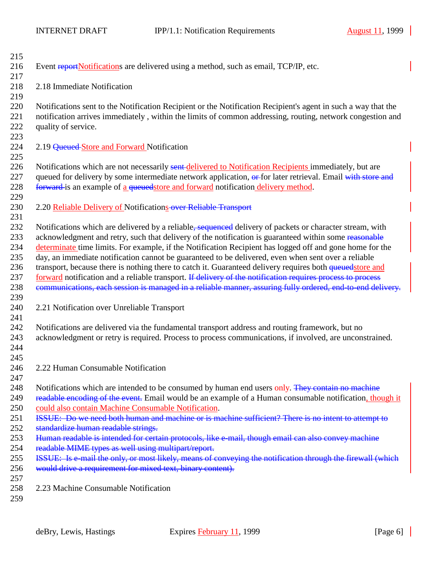| 215 |                                                                                                               |
|-----|---------------------------------------------------------------------------------------------------------------|
| 216 | Event reportNotifications are delivered using a method, such as email, TCP/IP, etc.                           |
| 217 |                                                                                                               |
| 218 | 2.18 Immediate Notification                                                                                   |
| 219 |                                                                                                               |
| 220 | Notifications sent to the Notification Recipient or the Notification Recipient's agent in such a way that the |
| 221 | notification arrives immediately, within the limits of common addressing, routing, network congestion and     |
| 222 | quality of service.                                                                                           |
| 223 |                                                                                                               |
| 224 | 2.19 Queued Store and Forward Notification                                                                    |
| 225 |                                                                                                               |
| 226 | Notifications which are not necessarily sent-delivered to Notification Recipients immediately, but are        |
| 227 | queued for delivery by some intermediate network application, or for later retrieval. Email with store and    |
| 228 | forward is an example of a queued store and forward notification delivery method.                             |
| 229 |                                                                                                               |
| 230 | 2.20 Reliable Delivery of Notifications-over Reliable Transport                                               |
| 231 |                                                                                                               |
| 232 | Notifications which are delivered by a reliable, sequenced delivery of packets or character stream, with      |
| 233 | acknowledgment and retry, such that delivery of the notification is guaranteed within some reasonable         |
| 234 | determinate time limits. For example, if the Notification Recipient has logged off and gone home for the      |
| 235 | day, an immediate notification cannot be guaranteed to be delivered, even when sent over a reliable           |
| 236 | transport, because there is nothing there to catch it. Guaranteed delivery requires both queuedstore and      |
| 237 | forward notification and a reliable transport. If delivery of the notification requires process to process    |
| 238 | communications, each session is managed in a reliable manner, assuring fully ordered, end-to-end delivery.    |
| 239 |                                                                                                               |
| 240 | 2.21 Notification over Unreliable Transport                                                                   |
| 241 |                                                                                                               |
| 242 | Notifications are delivered via the fundamental transport address and routing framework, but no               |
| 243 | acknowledgment or retry is required. Process to process communications, if involved, are unconstrained.       |
| 244 |                                                                                                               |
| 245 |                                                                                                               |
| 246 | 2.22 Human Consumable Notification                                                                            |
| 247 |                                                                                                               |
| 248 | Notifications which are intended to be consumed by human end users only. They contain no machine              |
| 249 | readable encoding of the event. Email would be an example of a Human consumable notification, though it       |
| 250 | could also contain Machine Consumable Notification.                                                           |
| 251 | ISSUE: Do we need both human and machine or is machine sufficient? There is no intent to attempt to           |
| 252 | standardize human readable strings.                                                                           |
| 253 | Human readable is intended for certain protocols, like e-mail, though email can also convey machine           |
| 254 | readable MIME types as well using multipart/report.                                                           |
| 255 | ISSUE: Is e-mail the only, or most likely, means of conveying the notification through the firewall (which    |
| 256 | would drive a requirement for mixed text, binary content).                                                    |
| 257 |                                                                                                               |
| 258 | 2.23 Machine Consumable Notification                                                                          |
| 259 |                                                                                                               |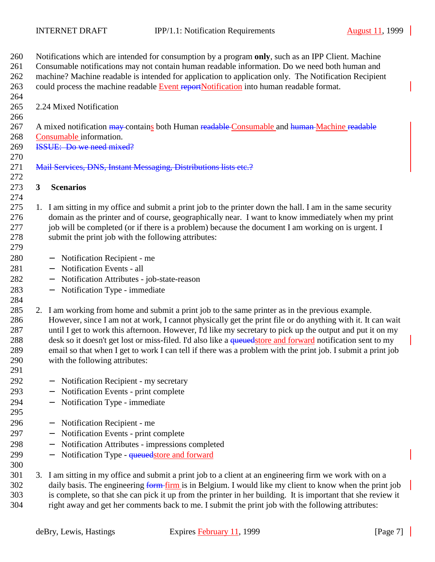<span id="page-6-0"></span>

| 260 |                                                                                             | Notifications which are intended for consumption by a program only, such as an IPP Client. Machine           |  |  |  |
|-----|---------------------------------------------------------------------------------------------|--------------------------------------------------------------------------------------------------------------|--|--|--|
| 261 |                                                                                             | Consumable notifications may not contain human readable information. Do we need both human and               |  |  |  |
| 262 |                                                                                             | machine? Machine readable is intended for application to application only. The Notification Recipient        |  |  |  |
| 263 | could process the machine readable Event reportNotification into human readable format.     |                                                                                                              |  |  |  |
| 264 |                                                                                             |                                                                                                              |  |  |  |
| 265 | 2.24 Mixed Notification                                                                     |                                                                                                              |  |  |  |
| 266 |                                                                                             |                                                                                                              |  |  |  |
| 267 | A mixed notification may contains both Human readable Consumable and human Machine readable |                                                                                                              |  |  |  |
| 268 |                                                                                             | Consumable information.                                                                                      |  |  |  |
| 269 | <b>ISSUE:</b> Do we need mixed?                                                             |                                                                                                              |  |  |  |
| 270 |                                                                                             |                                                                                                              |  |  |  |
| 271 |                                                                                             | Mail Services, DNS, Instant Messaging, Distributions lists etc.?                                             |  |  |  |
| 272 |                                                                                             |                                                                                                              |  |  |  |
| 273 | 3                                                                                           | <b>Scenarios</b>                                                                                             |  |  |  |
| 274 |                                                                                             |                                                                                                              |  |  |  |
| 275 |                                                                                             | 1. I am sitting in my office and submit a print job to the printer down the hall. I am in the same security  |  |  |  |
| 276 |                                                                                             | domain as the printer and of course, geographically near. I want to know immediately when my print           |  |  |  |
| 277 |                                                                                             | job will be completed (or if there is a problem) because the document I am working on is urgent. I           |  |  |  |
| 278 |                                                                                             | submit the print job with the following attributes:                                                          |  |  |  |
| 279 |                                                                                             |                                                                                                              |  |  |  |
| 280 |                                                                                             | Notification Recipient - me<br>$\overline{\phantom{m}}$                                                      |  |  |  |
| 281 |                                                                                             | Notification Events - all<br>$\overline{\phantom{m}}$                                                        |  |  |  |
| 282 |                                                                                             | Notification Attributes - job-state-reason<br>$\overline{\phantom{0}}$                                       |  |  |  |
| 283 |                                                                                             | Notification Type - immediate<br>$\qquad \qquad -$                                                           |  |  |  |
| 284 |                                                                                             |                                                                                                              |  |  |  |
| 285 |                                                                                             | 2. I am working from home and submit a print job to the same printer as in the previous example.             |  |  |  |
| 286 |                                                                                             | However, since I am not at work, I cannot physically get the print file or do anything with it. It can wait  |  |  |  |
| 287 |                                                                                             | until I get to work this afternoon. However, I'd like my secretary to pick up the output and put it on my    |  |  |  |
| 288 |                                                                                             | desk so it doesn't get lost or miss-filed. I'd also like a queuedstore and forward notification sent to my   |  |  |  |
| 289 |                                                                                             | email so that when I get to work I can tell if there was a problem with the print job. I submit a print job  |  |  |  |
| 290 |                                                                                             | with the following attributes:                                                                               |  |  |  |
| 291 |                                                                                             |                                                                                                              |  |  |  |
| 292 |                                                                                             | Notification Recipient - my secretary<br>$\qquad \qquad -$                                                   |  |  |  |
| 293 |                                                                                             | Notification Events - print complete<br>$\qquad \qquad -$                                                    |  |  |  |
| 294 |                                                                                             | Notification Type - immediate                                                                                |  |  |  |
| 295 |                                                                                             |                                                                                                              |  |  |  |
| 296 |                                                                                             | Notification Recipient - me<br>$\qquad \qquad -$                                                             |  |  |  |
| 297 |                                                                                             | Notification Events - print complete                                                                         |  |  |  |
| 298 |                                                                                             | Notification Attributes - impressions completed<br>$\qquad \qquad -$                                         |  |  |  |
| 299 |                                                                                             | Notification Type - <del>queued</del> store and forward                                                      |  |  |  |
| 300 |                                                                                             |                                                                                                              |  |  |  |
| 301 |                                                                                             | 3. I am sitting in my office and submit a print job to a client at an engineering firm we work with on a     |  |  |  |
| 302 |                                                                                             | daily basis. The engineering form-firm is in Belgium. I would like my client to know when the print job      |  |  |  |
| 303 |                                                                                             | is complete, so that she can pick it up from the printer in her building. It is important that she review it |  |  |  |
| 304 |                                                                                             | right away and get her comments back to me. I submit the print job with the following attributes:            |  |  |  |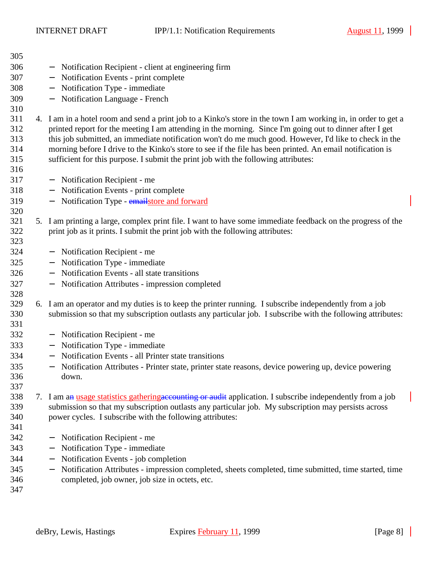| 305        |                                                                                                                                                                                              |
|------------|----------------------------------------------------------------------------------------------------------------------------------------------------------------------------------------------|
| 306        | Notification Recipient - client at engineering firm<br>$\overline{\phantom{0}}$                                                                                                              |
| 307        | Notification Events - print complete<br>$\overline{\phantom{m}}$                                                                                                                             |
| 308        | Notification Type - immediate                                                                                                                                                                |
| 309        | Notification Language - French<br>$\qquad \qquad -$                                                                                                                                          |
| 310        |                                                                                                                                                                                              |
| 311        | 4. I am in a hotel room and send a print job to a Kinko's store in the town I am working in, in order to get a                                                                               |
| 312        | printed report for the meeting I am attending in the morning. Since I'm going out to dinner after I get                                                                                      |
| 313        | this job submitted, an immediate notification won't do me much good. However, I'd like to check in the                                                                                       |
| 314        | morning before I drive to the Kinko's store to see if the file has been printed. An email notification is                                                                                    |
| 315        | sufficient for this purpose. I submit the print job with the following attributes:                                                                                                           |
| 316        |                                                                                                                                                                                              |
| 317        | Notification Recipient - me<br>$\overline{\phantom{m}}$                                                                                                                                      |
| 318        | Notification Events - print complete                                                                                                                                                         |
| 319        | Notification Type - emailstore and forward<br>$\qquad \qquad -$                                                                                                                              |
| 320<br>321 |                                                                                                                                                                                              |
| 322        | 5. I am printing a large, complex print file. I want to have some immediate feedback on the progress of the<br>print job as it prints. I submit the print job with the following attributes: |
| 323        |                                                                                                                                                                                              |
| 324        | Notification Recipient - me<br>$\overline{\phantom{m}}$                                                                                                                                      |
| 325        | Notification Type - immediate<br>$\overline{\phantom{m}}$                                                                                                                                    |
| 326        | Notification Events - all state transitions<br>$\qquad \qquad -$                                                                                                                             |
| 327        | Notification Attributes - impression completed<br>$\overline{\phantom{m}}$                                                                                                                   |
| 328        |                                                                                                                                                                                              |
| 329        | 6. I am an operator and my duties is to keep the printer running. I subscribe independently from a job                                                                                       |
| 330        | submission so that my subscription outlasts any particular job. I subscribe with the following attributes:                                                                                   |
| 331        |                                                                                                                                                                                              |
| 332        | Notification Recipient - me<br>$\overline{\phantom{m}}$                                                                                                                                      |
| 333        | Notification Type - immediate<br>$\overline{\phantom{m}}$                                                                                                                                    |
| 334        | Notification Events - all Printer state transitions<br>$-$                                                                                                                                   |
| 335        | Notification Attributes - Printer state, printer state reasons, device powering up, device powering                                                                                          |
| 336        | down.                                                                                                                                                                                        |
| 337        |                                                                                                                                                                                              |
| 338        | 7. I am an usage statistics gathering accounting or audit application. I subscribe independently from a job                                                                                  |
| 339        | submission so that my subscription outlasts any particular job. My subscription may persists across                                                                                          |
| 340        | power cycles. I subscribe with the following attributes:                                                                                                                                     |
| 341        |                                                                                                                                                                                              |
| 342        | Notification Recipient - me<br>$\overline{\phantom{m}}$                                                                                                                                      |
| 343        | Notification Type - immediate<br>$\overline{\phantom{m}}$                                                                                                                                    |
| 344        | Notification Events - job completion                                                                                                                                                         |
| 345        | Notification Attributes - impression completed, sheets completed, time submitted, time started, time<br>$\qquad \qquad -$                                                                    |
| 346        | completed, job owner, job size in octets, etc.                                                                                                                                               |
| 347        |                                                                                                                                                                                              |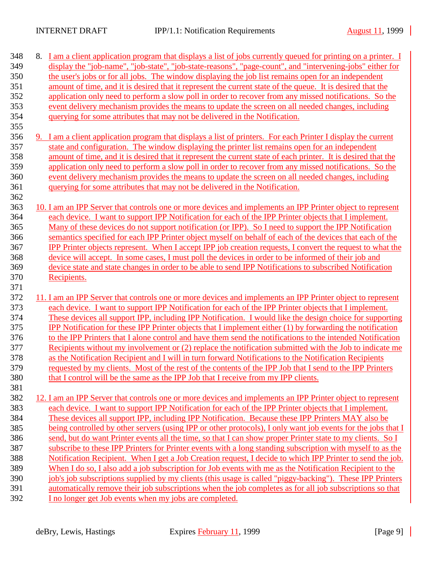| 348        | 8. I am a client application program that displays a list of jobs currently queued for printing on a printer. I                                                                                                                |
|------------|--------------------------------------------------------------------------------------------------------------------------------------------------------------------------------------------------------------------------------|
| 349        | display the "job-name", "job-state", "job-state-reasons", "page-count", and "intervening-jobs" either for                                                                                                                      |
| 350        | the user's jobs or for all jobs. The window displaying the job list remains open for an independent                                                                                                                            |
| 351        | amount of time, and it is desired that it represent the current state of the queue. It is desired that the                                                                                                                     |
| 352        | application only need to perform a slow poll in order to recover from any missed notifications. So the                                                                                                                         |
| 353        | event delivery mechanism provides the means to update the screen on all needed changes, including                                                                                                                              |
| 354        | querying for some attributes that may not be delivered in the Notification.                                                                                                                                                    |
| 355        |                                                                                                                                                                                                                                |
| 356        | 9. I am a client application program that displays a list of printers. For each Printer I display the current                                                                                                                  |
| 357        | state and configuration. The window displaying the printer list remains open for an independent                                                                                                                                |
| 358        | amount of time, and it is desired that it represent the current state of each printer. It is desired that the                                                                                                                  |
| 359        | application only need to perform a slow poll in order to recover from any missed notifications. So the                                                                                                                         |
| 360        | event delivery mechanism provides the means to update the screen on all needed changes, including                                                                                                                              |
| 361        | querying for some attributes that may not be delivered in the Notification.                                                                                                                                                    |
| 362        |                                                                                                                                                                                                                                |
| 363        | 10. I am an IPP Server that controls one or more devices and implements an IPP Printer object to represent                                                                                                                     |
| 364        | each device. I want to support IPP Notification for each of the IPP Printer objects that I implement.                                                                                                                          |
| 365        | Many of these devices do not support notification (or IPP). So I need to support the IPP Notification                                                                                                                          |
| 366        | semantics specified for each IPP Printer object myself on behalf of each of the devices that each of the                                                                                                                       |
| 367        | IPP Printer objects represent. When I accept IPP job creation requests, I convert the request to what the                                                                                                                      |
| 368        | device will accept. In some cases, I must poll the devices in order to be informed of their job and                                                                                                                            |
| 369        | device state and state changes in order to be able to send IPP Notifications to subscribed Notification                                                                                                                        |
| 370        | Recipients.                                                                                                                                                                                                                    |
| 371        |                                                                                                                                                                                                                                |
| 372        | 11. I am an IPP Server that controls one or more devices and implements an IPP Printer object to represent                                                                                                                     |
| 373<br>374 | each device. I want to support IPP Notification for each of the IPP Printer objects that I implement.                                                                                                                          |
| 375        | These devices all support IPP, including IPP Notification. I would like the design choice for supporting                                                                                                                       |
| 376        | <b>IPP</b> Notification for these IPP Printer objects that I implement either (1) by forwarding the notification<br>to the IPP Printers that I alone control and have them send the notifications to the intended Notification |
| 377        | Recipients without my involvement or (2) replace the notification submitted with the Job to indicate me                                                                                                                        |
| 378        | as the Notification Recipient and I will in turn forward Notifications to the Notification Recipients                                                                                                                          |
| 379        | requested by my clients. Most of the rest of the contents of the IPP Job that I send to the IPP Printers                                                                                                                       |
| 380        | that I control will be the same as the IPP Job that I receive from my IPP clients.                                                                                                                                             |
| 381        |                                                                                                                                                                                                                                |
| 382        | 12. I am an IPP Server that controls one or more devices and implements an IPP Printer object to represent                                                                                                                     |
| 383        | each device. I want to support IPP Notification for each of the IPP Printer objects that I implement.                                                                                                                          |
| 384        | These devices all support IPP, including IPP Notification. Because these IPP Printers MAY also be                                                                                                                              |
| 385        | being controlled by other servers (using IPP or other protocols), I only want job events for the jobs that I                                                                                                                   |
| 386        | send, but do want Printer events all the time, so that I can show proper Printer state to my clients. So I                                                                                                                     |
| 387        | subscribe to these IPP Printers for Printer events with a long standing subscription with myself to as the                                                                                                                     |
| 388        | Notification Recipient. When I get a Job Creation request, I decide to which IPP Printer to send the job.                                                                                                                      |
| 389        | When I do so, I also add a job subscription for Job events with me as the Notification Recipient to the                                                                                                                        |
| 390        | job's job subscriptions supplied by my clients (this usage is called "piggy-backing"). These IPP Printers                                                                                                                      |
| 391        | automatically remove their job subscriptions when the job completes as for all job subscriptions so that                                                                                                                       |
| 392        | I no longer get Job events when my jobs are completed.                                                                                                                                                                         |
|            |                                                                                                                                                                                                                                |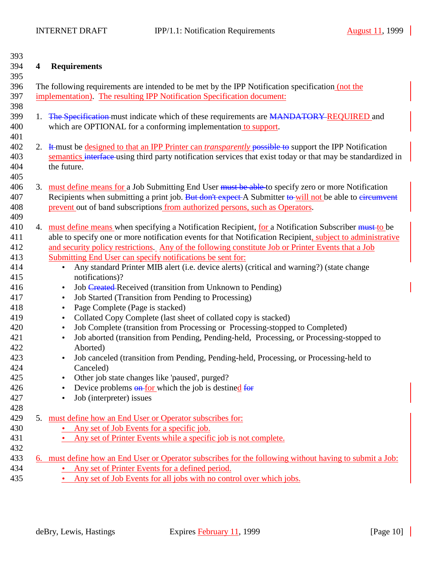<span id="page-9-0"></span>

| 393 |    |                                                                                                                 |  |  |  |  |
|-----|----|-----------------------------------------------------------------------------------------------------------------|--|--|--|--|
| 394 | 4  | <b>Requirements</b>                                                                                             |  |  |  |  |
| 395 |    |                                                                                                                 |  |  |  |  |
| 396 |    | The following requirements are intended to be met by the IPP Notification specification (not the                |  |  |  |  |
| 397 |    | implementation). The resulting IPP Notification Specification document:                                         |  |  |  |  |
| 398 |    |                                                                                                                 |  |  |  |  |
| 399 | 1. | The Specification must indicate which of these requirements are MANDATORY REQUIRED and                          |  |  |  |  |
| 400 |    | which are OPTIONAL for a conforming implementation to support.                                                  |  |  |  |  |
| 401 |    |                                                                                                                 |  |  |  |  |
| 402 |    | 2. It must be designed to that an IPP Printer can <i>transparently</i> possible to support the IPP Notification |  |  |  |  |
| 403 |    | semantics interface using third party notification services that exist today or that may be standardized in     |  |  |  |  |
| 404 |    | the future.                                                                                                     |  |  |  |  |
| 405 |    |                                                                                                                 |  |  |  |  |
| 406 |    | 3. must define means for a Job Submitting End User must be able to specify zero or more Notification            |  |  |  |  |
| 407 |    | Recipients when submitting a print job. But don't expect A Submitter to-will not be able to eircumvent          |  |  |  |  |
| 408 |    | prevent out of band subscriptions from authorized persons, such as Operators.                                   |  |  |  |  |
| 409 |    |                                                                                                                 |  |  |  |  |
| 410 |    | 4. must define means when specifying a Notification Recipient, for a Notification Subscriber must to be         |  |  |  |  |
| 411 |    | able to specify one or more notification events for that Notification Recipient, subject to administrative      |  |  |  |  |
| 412 |    | and security policy restrictions. Any of the following constitute Job or Printer Events that a Job              |  |  |  |  |
| 413 |    | Submitting End User can specify notifications be sent for:                                                      |  |  |  |  |
| 414 |    | Any standard Printer MIB alert (i.e. device alerts) (critical and warning?) (state change<br>$\bullet$          |  |  |  |  |
| 415 |    | notifications)?                                                                                                 |  |  |  |  |
| 416 |    | Job Created-Received (transition from Unknown to Pending)<br>$\bullet$                                          |  |  |  |  |
| 417 |    | Job Started (Transition from Pending to Processing)<br>$\bullet$                                                |  |  |  |  |
| 418 |    | Page Complete (Page is stacked)<br>$\bullet$                                                                    |  |  |  |  |
| 419 |    | Collated Copy Complete (last sheet of collated copy is stacked)<br>$\bullet$                                    |  |  |  |  |
| 420 |    | Job Complete (transition from Processing or Processing-stopped to Completed)<br>$\bullet$                       |  |  |  |  |
| 421 |    | Job aborted (transition from Pending, Pending-held, Processing, or Processing-stopped to<br>$\bullet$           |  |  |  |  |
| 422 |    | Aborted)                                                                                                        |  |  |  |  |
| 423 |    | Job canceled (transition from Pending, Pending-held, Processing, or Processing-held to                          |  |  |  |  |
| 424 |    | Canceled)                                                                                                       |  |  |  |  |
| 425 |    | Other job state changes like 'paused', purged?                                                                  |  |  |  |  |
| 426 |    | Device problems on for which the job is destined for                                                            |  |  |  |  |
| 427 |    | Job (interpreter) issues<br>$\bullet$                                                                           |  |  |  |  |
| 428 |    |                                                                                                                 |  |  |  |  |
| 429 |    | 5. must define how an End User or Operator subscribes for:                                                      |  |  |  |  |
| 430 |    | Any set of Job Events for a specific job.                                                                       |  |  |  |  |
| 431 |    | Any set of Printer Events while a specific job is not complete.                                                 |  |  |  |  |
| 432 |    |                                                                                                                 |  |  |  |  |
| 433 |    | 6. must define how an End User or Operator subscribes for the following without having to submit a Job:         |  |  |  |  |
| 434 |    | Any set of Printer Events for a defined period.                                                                 |  |  |  |  |
| 435 |    | Any set of Job Events for all jobs with no control over which jobs.                                             |  |  |  |  |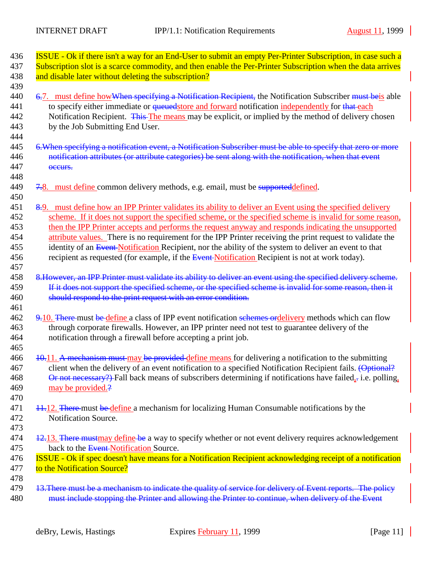<span id="page-10-0"></span>

| 436<br>437                                    | ISSUE - Ok if there isn't a way for an End-User to submit an empty Per-Printer Subscription, in case such a<br>Subscription slot is a scarce commodity, and then enable the Per-Printer Subscription when the data arrives                                                                                                                                                                                                                                                                                                                                                                                                                               |
|-----------------------------------------------|----------------------------------------------------------------------------------------------------------------------------------------------------------------------------------------------------------------------------------------------------------------------------------------------------------------------------------------------------------------------------------------------------------------------------------------------------------------------------------------------------------------------------------------------------------------------------------------------------------------------------------------------------------|
| 438<br>439                                    | and disable later without deleting the subscription?                                                                                                                                                                                                                                                                                                                                                                                                                                                                                                                                                                                                     |
| 440<br>441<br>442<br>443<br>444               | 6.7. must define how When specifying a Notification Recipient, the Notification Subscriber must beis able<br>to specify either immediate or <i>queuedstore and forward</i> notification <i>independently</i> for that each<br>Notification Recipient. This The means may be explicit, or implied by the method of delivery chosen<br>by the Job Submitting End User.                                                                                                                                                                                                                                                                                     |
| 445<br>446<br>447<br>448                      | 6. When specifying a notification event, a Notification Subscriber must be able to specify that zero or more<br>notification attributes (or attribute categories) be sent along with the notification, when that event<br>occurs.                                                                                                                                                                                                                                                                                                                                                                                                                        |
| 449<br>450                                    | 7.8. must define common delivery methods, e.g. email, must be supported defined.                                                                                                                                                                                                                                                                                                                                                                                                                                                                                                                                                                         |
| 451<br>452<br>453<br>454<br>455<br>456<br>457 | 8.9. must define how an IPP Printer validates its ability to deliver an Event using the specified delivery<br>scheme. If it does not support the specified scheme, or the specified scheme is invalid for some reason,<br>then the IPP Printer accepts and performs the request anyway and responds indicating the unsupported<br>attribute values. There is no requirement for the IPP Printer receiving the print request to validate the<br>identity of an Event-Notification Recipient, nor the ability of the system to deliver an event to that<br>recipient as requested (for example, if the Event Notification Recipient is not at work today). |
| 458<br>459<br>460<br>461                      | 8. However, an IPP Printer must validate its ability to deliver an event using the specified delivery scheme.<br>If it does not support the specified scheme, or the specified scheme is invalid for some reason, then it<br>should respond to the print request with an error condition.                                                                                                                                                                                                                                                                                                                                                                |
| 462<br>463<br>464<br>465                      | 9.10. There must be define a class of IPP event notification schemes ordelivery methods which can flow<br>through corporate firewalls. However, an IPP printer need not test to guarantee delivery of the<br>notification through a firewall before accepting a print job.                                                                                                                                                                                                                                                                                                                                                                               |
| 466<br>467<br>468<br>469<br>470               | 10.11. A mechanism must may be provided define means for delivering a notification to the submitting<br>client when the delivery of an event notification to a specified Notification Recipient fails. (Optional?<br>Or not necessary?) Fall back means of subscribers determining if notifications have failed,- i.e. polling,<br>may be provided.?                                                                                                                                                                                                                                                                                                     |
| 471<br>472<br>473                             | 11.12. There-must be define a mechanism for localizing Human Consumable notifications by the<br>Notification Source.                                                                                                                                                                                                                                                                                                                                                                                                                                                                                                                                     |
| 474<br>475                                    | 12.13. There must may define be a way to specify whether or not event delivery requires acknowledgement<br>back to the Event-Notification Source.                                                                                                                                                                                                                                                                                                                                                                                                                                                                                                        |
| 476<br>477<br>478                             | <b>ISSUE</b> - Ok if spec doesn't have means for a Notification Recipient acknowledging receipt of a notification<br>to the Notification Source?                                                                                                                                                                                                                                                                                                                                                                                                                                                                                                         |
| 479<br>480                                    | 13. There must be a mechanism to indicate the quality of service for delivery of Event reports. The policy<br>must include stopping the Printer and allowing the Printer to continue, when delivery of the Event                                                                                                                                                                                                                                                                                                                                                                                                                                         |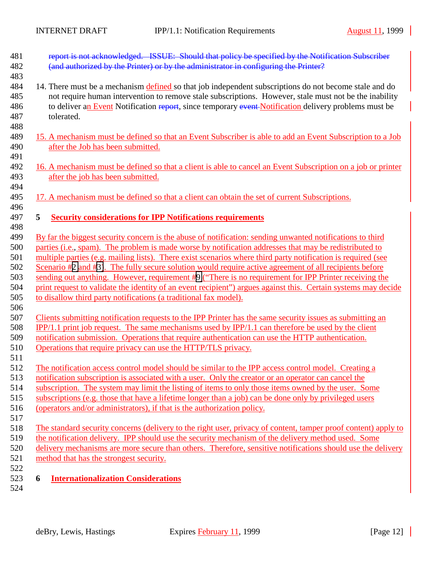<span id="page-11-0"></span>

| 481 | report is not acknowledged. ISSUE: Should that policy be specified by the Notification Subscriber              |  |  |  |
|-----|----------------------------------------------------------------------------------------------------------------|--|--|--|
| 482 | (and authorized by the Printer) or by the administrator in configuring the Printer?                            |  |  |  |
| 483 |                                                                                                                |  |  |  |
| 484 | 14. There must be a mechanism defined so that job independent subscriptions do not become stale and do         |  |  |  |
| 485 | not require human intervention to remove stale subscriptions. However, stale must not be the inability         |  |  |  |
| 486 | to deliver an Event Notification report, since temporary event Notification delivery problems must be          |  |  |  |
| 487 | tolerated.                                                                                                     |  |  |  |
| 488 |                                                                                                                |  |  |  |
| 489 | 15. A mechanism must be defined so that an Event Subscriber is able to add an Event Subscription to a Job      |  |  |  |
| 490 | after the Job has been submitted.                                                                              |  |  |  |
| 491 |                                                                                                                |  |  |  |
| 492 | 16. A mechanism must be defined so that a client is able to cancel an Event Subscription on a job or printer   |  |  |  |
| 493 | after the job has been submitted.                                                                              |  |  |  |
| 494 |                                                                                                                |  |  |  |
| 495 | 17. A mechanism must be defined so that a client can obtain the set of current Subscriptions.                  |  |  |  |
| 496 |                                                                                                                |  |  |  |
| 497 | <b>Security considerations for IPP Notifications requirements</b><br>5                                         |  |  |  |
| 498 |                                                                                                                |  |  |  |
| 499 | By far the biggest security concern is the abuse of notification: sending unwanted notifications to third      |  |  |  |
| 500 | parties (i.e., spam). The problem is made worse by notification addresses that may be redistributed to         |  |  |  |
| 501 | multiple parties (e.g. mailing lists). There exist scenarios where third party notification is required (see   |  |  |  |
| 502 | Scenario #2 and #3). The fully secure solution would require active agreement of all recipients before         |  |  |  |
| 503 | sending out anything. However, requirement #9 ("There is no requirement for IPP Printer receiving the          |  |  |  |
| 504 | print request to validate the identity of an event recipient") argues against this. Certain systems may decide |  |  |  |
| 505 | to disallow third party notifications (a traditional fax model).                                               |  |  |  |
| 506 |                                                                                                                |  |  |  |
| 507 | Clients submitting notification requests to the IPP Printer has the same security issues as submitting an      |  |  |  |
| 508 | $IPP/1.1$ print job request. The same mechanisms used by $IPP/1.1$ can therefore be used by the client         |  |  |  |
| 509 | notification submission. Operations that require authentication can use the HTTP authentication.               |  |  |  |
| 510 | Operations that require privacy can use the HTTP/TLS privacy.                                                  |  |  |  |
| 511 |                                                                                                                |  |  |  |
| 512 | The notification access control model should be similar to the IPP access control model. Creating a            |  |  |  |
| 513 | notification subscription is associated with a user. Only the creator or an operator can cancel the            |  |  |  |
| 514 | subscription. The system may limit the listing of items to only those items owned by the user. Some            |  |  |  |
| 515 | subscriptions (e.g. those that have a lifetime longer than a job) can be done only by privileged users         |  |  |  |
| 516 | (operators and/or administrators), if that is the authorization policy.                                        |  |  |  |
| 517 |                                                                                                                |  |  |  |
| 518 | The standard security concerns (delivery to the right user, privacy of content, tamper proof content) apply to |  |  |  |
| 519 | the notification delivery. IPP should use the security mechanism of the delivery method used. Some             |  |  |  |
| 520 | delivery mechanisms are more secure than others. Therefore, sensitive notifications should use the delivery    |  |  |  |
| 521 | method that has the strongest security.                                                                        |  |  |  |
| 522 |                                                                                                                |  |  |  |
| 523 | 6<br><b>Internationalization Considerations</b>                                                                |  |  |  |
| 524 |                                                                                                                |  |  |  |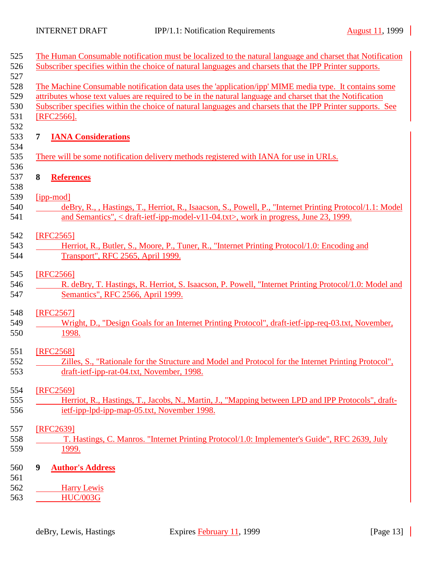<span id="page-12-0"></span>

|            | The Human Consumable notification must be localized to the natural language and charset that Notification                                                                                                                |  |  |  |
|------------|--------------------------------------------------------------------------------------------------------------------------------------------------------------------------------------------------------------------------|--|--|--|
|            | Subscriber specifies within the choice of natural languages and charsets that the IPP Printer supports.                                                                                                                  |  |  |  |
|            | The Machine Consumable notification data uses the 'application/ipp' MIME media type. It contains some                                                                                                                    |  |  |  |
|            | attributes whose text values are required to be in the natural language and charset that the Notification<br>Subscriber specifies within the choice of natural languages and charsets that the IPP Printer supports. See |  |  |  |
| [RFC2566]. |                                                                                                                                                                                                                          |  |  |  |
|            |                                                                                                                                                                                                                          |  |  |  |
| 7          | <b>IANA Considerations</b>                                                                                                                                                                                               |  |  |  |
|            | There will be some notification delivery methods registered with IANA for use in URLs.                                                                                                                                   |  |  |  |
| 8          | <b>References</b>                                                                                                                                                                                                        |  |  |  |
| [ipp-mod]  |                                                                                                                                                                                                                          |  |  |  |
|            | deBry, R., , Hastings, T., Herriot, R., Isaacson, S., Powell, P., "Internet Printing Protocol/1.1: Model                                                                                                                 |  |  |  |
|            | and Semantics", < draft-ietf-ipp-model-v11-04.txt>, work in progress, June 23, 1999.                                                                                                                                     |  |  |  |
| [RFC2565]  |                                                                                                                                                                                                                          |  |  |  |
|            | Herriot, R., Butler, S., Moore, P., Tuner, R., "Internet Printing Protocol/1.0: Encoding and                                                                                                                             |  |  |  |
|            | Transport", RFC 2565, April 1999.                                                                                                                                                                                        |  |  |  |
| [RFC2566]  |                                                                                                                                                                                                                          |  |  |  |
|            | R. deBry, T. Hastings, R. Herriot, S. Isaacson, P. Powell, "Internet Printing Protocol/1.0: Model and                                                                                                                    |  |  |  |
|            | Semantics", RFC 2566, April 1999.                                                                                                                                                                                        |  |  |  |
| [RFC2567]  |                                                                                                                                                                                                                          |  |  |  |
|            | Wright, D., "Design Goals for an Internet Printing Protocol", draft-ietf-ipp-req-03.txt, November,                                                                                                                       |  |  |  |
|            | 1998.                                                                                                                                                                                                                    |  |  |  |
| [RFC2568]  |                                                                                                                                                                                                                          |  |  |  |
|            | Zilles, S., "Rationale for the Structure and Model and Protocol for the Internet Printing Protocol",                                                                                                                     |  |  |  |
|            | draft-ietf-ipp-rat-04.txt, November, 1998.                                                                                                                                                                               |  |  |  |
| [RFC2569]  |                                                                                                                                                                                                                          |  |  |  |
|            | Herriot, R., Hastings, T., Jacobs, N., Martin, J., "Mapping between LPD and IPP Protocols", draft-                                                                                                                       |  |  |  |
|            | ietf-ipp-lpd-ipp-map-05.txt, November 1998.                                                                                                                                                                              |  |  |  |
| [RFC2639]  |                                                                                                                                                                                                                          |  |  |  |
|            | T. Hastings, C. Manros. "Internet Printing Protocol/1.0: Implementer's Guide", RFC 2639, July                                                                                                                            |  |  |  |
|            | <u>1999.</u>                                                                                                                                                                                                             |  |  |  |
|            |                                                                                                                                                                                                                          |  |  |  |
| 9          | <b>Author's Address</b>                                                                                                                                                                                                  |  |  |  |
|            | <b>Harry Lewis</b>                                                                                                                                                                                                       |  |  |  |
|            | <b>HUC/003G</b>                                                                                                                                                                                                          |  |  |  |
|            |                                                                                                                                                                                                                          |  |  |  |